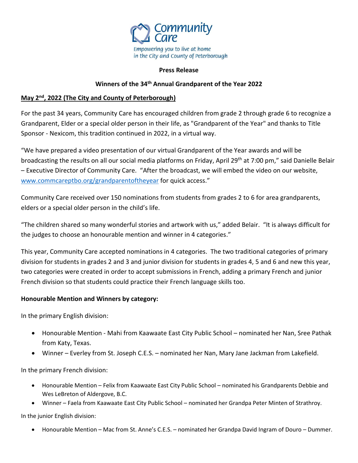

### **Press Release**

### **Winners of the 34th Annual Grandparent of the Year 2022**

## **May 2nd, 2022 (The City and County of Peterborough)**

For the past 34 years, Community Care has encouraged children from grade 2 through grade 6 to recognize a Grandparent, Elder or a special older person in their life, as "Grandparent of the Year" and thanks to Title Sponsor - Nexicom, this tradition continued in 2022, in a virtual way.

"We have prepared a video presentation of our virtual Grandparent of the Year awards and will be broadcasting the results on all our social media platforms on Friday, April 29<sup>th</sup> at 7:00 pm," said Danielle Belair – Executive Director of Community Care. "After the broadcast, we will embed the video on our website, [www.commcareptbo.org/grandparentoftheyear](http://www.commcareptbo.org/grandparentoftheyear) for quick access."

Community Care received over 150 nominations from students from grades 2 to 6 for area grandparents, elders or a special older person in the child's life.

"The children shared so many wonderful stories and artwork with us," added Belair. "It is always difficult for the judges to choose an honourable mention and winner in 4 categories."

This year, Community Care accepted nominations in 4 categories. The two traditional categories of primary division for students in grades 2 and 3 and junior division for students in grades 4, 5 and 6 and new this year, two categories were created in order to accept submissions in French, adding a primary French and junior French division so that students could practice their French language skills too.

# **Honourable Mention and Winners by category:**

In the primary English division:

- Honourable Mention Mahi from Kaawaate East City Public School nominated her Nan, Sree Pathak from Katy, Texas.
- Winner Everley from St. Joseph C.E.S. nominated her Nan, Mary Jane Jackman from Lakefield.

In the primary French division:

- Honourable Mention Felix from Kaawaate East City Public School nominated his Grandparents Debbie and Wes LeBreton of Aldergove, B.C.
- Winner Faela from Kaawaate East City Public School nominated her Grandpa Peter Minten of Strathroy.

In the junior English division:

Honourable Mention – Mac from St. Anne's C.E.S. – nominated her Grandpa David Ingram of Douro – Dummer.